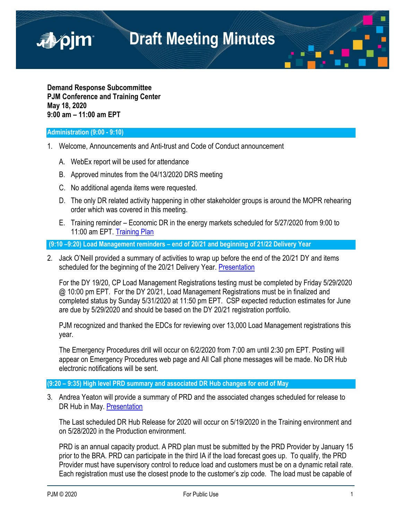

**Demand Response Subcommittee PJM Conference and Training Center May 18, 2020 9:00 am – 11:00 am EPT**

## **Administration (9:00 - 9:10)**

■pjm

- 1. Welcome, Announcements and Anti-trust and Code of Conduct announcement
	- A. WebEx report will be used for attendance
	- B. Approved minutes from the 04/13/2020 DRS meeting
	- C. No additional agenda items were requested.
	- D. The only DR related activity happening in other stakeholder groups is around the MOPR rehearing order which was covered in this meeting.
	- E. Training reminder Economic DR in the energy markets scheduled for 5/27/2020 from 9:00 to 11:00 am EPT. [Training Plan](https://www.pjm.com/-/media/committees-groups/subcommittees/drs/2020/20200518/20200518-item-01e-dr-training-plan.ashx)

**(9:10 –9:20) Load Management reminders – end of 20/21 and beginning of 21/22 Delivery Year**

2. Jack O'Neill provided a summary of activities to wrap up before the end of the 20/21 DY and items scheduled for the beginning of the 20/21 Delivery Year. [Presentation](https://www.pjm.com/-/media/committees-groups/subcommittees/drs/2020/20200518/20200518-item-02-lm-dy-rollover.ashx)

For the DY 19/20, CP Load Management Registrations testing must be completed by Friday 5/29/2020 @ 10:00 pm EPT. For the DY 20/21, Load Management Registrations must be in finalized and completed status by Sunday 5/31/2020 at 11:50 pm EPT. CSP expected reduction estimates for June are due by 5/29/2020 and should be based on the DY 20/21 registration portfolio.

PJM recognized and thanked the EDCs for reviewing over 13,000 Load Management registrations this year.

The Emergency Procedures drill will occur on 6/2/2020 from 7:00 am until 2:30 pm EPT. Posting will appear on Emergency Procedures web page and All Call phone messages will be made. No DR Hub electronic notifications will be sent.

### **(9:20 – 9:35) High level PRD summary and associated DR Hub changes for end of May**

3. Andrea Yeaton will provide a summary of PRD and the associated changes scheduled for release to DR Hub in May. [Presentation](https://www.pjm.com/-/media/committees-groups/subcommittees/drs/2020/20200518/20200518-item-03-prd-overview-and-implementation.ashx)

The Last scheduled DR Hub Release for 2020 will occur on 5/19/2020 in the Training environment and on 5/28/2020 in the Production environment.

PRD is an annual capacity product. A PRD plan must be submitted by the PRD Provider by January 15 prior to the BRA. PRD can participate in the third IA if the load forecast goes up. To qualify, the PRD Provider must have supervisory control to reduce load and customers must be on a dynamic retail rate. Each registration must use the closest pnode to the customer's zip code. The load must be capable of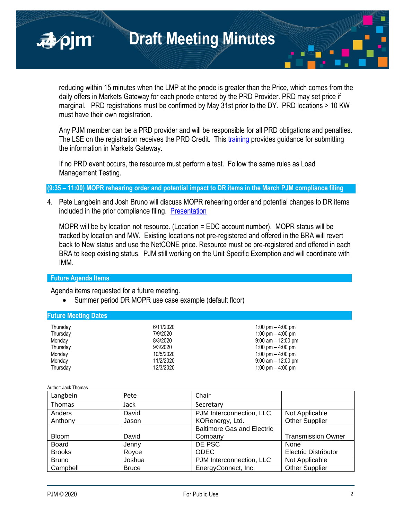reducing within 15 minutes when the LMP at the pnode is greater than the Price, which comes from the daily offers in Markets Gateway for each pnode entered by the PRD Provider. PRD may set price if marginal. PRD registrations must be confirmed by May 31st prior to the DY. PRD locations > 10 KW must have their own registration.

Any PJM member can be a PRD provider and will be responsible for all PRD obligations and penalties. The LSE on the registration receives the PRD Credit. This [training](https://www.pjm.com/-/media/training/core-curriculum/ip-dsr/in-dr-hub-and-markets-gateway.ashx?la=en) provides guidance for submitting the information in Markets Gateway.

If no PRD event occurs, the resource must perform a test. Follow the same rules as Load Management Testing.

**(9:35 – 11:00) MOPR rehearing order and potential impact to DR items in the March PJM compliance filing**

4. Pete Langbein and Josh Bruno will discuss MOPR rehearing order and potential changes to DR items included in the prior compliance filing. [Presentation](https://www.pjm.com/-/media/committees-groups/subcommittees/drs/2020/20200518/20200518-item-04a-mopr-rehearing-rrder-dr-impact.ashx)

MOPR will be by location not resource. (Location = EDC account number). MOPR status will be tracked by location and MW. Existing locations not pre-registered and offered in the BRA will revert back to New status and use the NetCONE price. Resource must be pre-registered and offered in each BRA to keep existing status. PJM still working on the Unit Specific Exemption and will coordinate with IMM.

# **Future Agenda Items**

■pjm

Agenda items requested for a future meeting.

• Summer period DR MOPR use case example (default floor)

### **Future Meeting Dates**

| Thursday<br>Thursday<br>Monday<br>Thursday<br>Monday<br>Monday | 6/11/2020<br>7/9/2020<br>8/3/2020<br>9/3/2020<br>10/5/2020<br>11/2/2020 | 1:00 pm $-$ 4:00 pm<br>1:00 pm $-$ 4:00 pm<br>$9:00$ am $-12:00$ pm<br>1:00 pm $-$ 4:00 pm<br>1:00 pm $-$ 4:00 pm<br>$9:00$ am $-12:00$ pm |
|----------------------------------------------------------------|-------------------------------------------------------------------------|--------------------------------------------------------------------------------------------------------------------------------------------|
|                                                                |                                                                         |                                                                                                                                            |
| Thursday                                                       | 12/3/2020                                                               | 1:00 pm $-$ 4:00 pm                                                                                                                        |

Author: Jack Thomas

| Langbein      | Pete         | Chair                             |                             |
|---------------|--------------|-----------------------------------|-----------------------------|
| Thomas        | Jack         | Secretary                         |                             |
| Anders        | David        | PJM Interconnection, LLC          | Not Applicable              |
| Anthony       | Jason        | KORenergy, Ltd.                   | <b>Other Supplier</b>       |
|               |              | <b>Baltimore Gas and Electric</b> |                             |
| <b>Bloom</b>  | David        | Company                           | <b>Transmission Owner</b>   |
| <b>Board</b>  | Jenny        | DE PSC                            | None                        |
| <b>Brooks</b> | Royce        | <b>ODEC</b>                       | <b>Electric Distributor</b> |
| <b>Bruno</b>  | Joshua       | PJM Interconnection, LLC          | Not Applicable              |
| Campbell      | <b>Bruce</b> | EnergyConnect, Inc.               | <b>Other Supplier</b>       |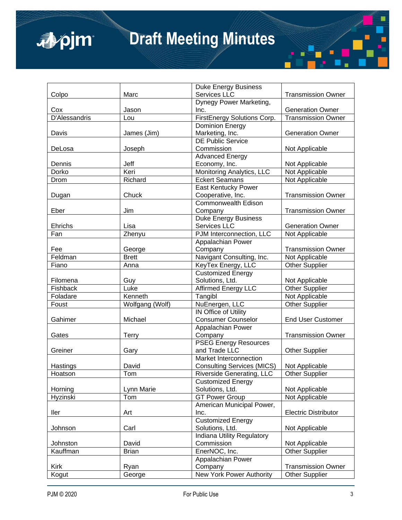

|               |                 | <b>Duke Energy Business</b>       |                             |
|---------------|-----------------|-----------------------------------|-----------------------------|
| Colpo         | Marc            | Services LLC                      | <b>Transmission Owner</b>   |
|               |                 | Dynegy Power Marketing,           |                             |
| Cox           | Jason           | Inc.                              | <b>Generation Owner</b>     |
| D'Alessandris | Lou             | FirstEnergy Solutions Corp.       | <b>Transmission Owner</b>   |
|               |                 | <b>Dominion Energy</b>            |                             |
| Davis         | James (Jim)     | Marketing, Inc.                   | <b>Generation Owner</b>     |
|               |                 | <b>DE Public Service</b>          |                             |
| DeLosa        | Joseph          | Commission                        | Not Applicable              |
|               |                 | <b>Advanced Energy</b>            |                             |
| Dennis        | Jeff            | Economy, Inc.                     | Not Applicable              |
| Dorko         | Keri            | Monitoring Analytics, LLC         | Not Applicable              |
| Drom          | Richard         | <b>Eckert Seamans</b>             | Not Applicable              |
|               |                 | East Kentucky Power               |                             |
| Dugan         | Chuck           | Cooperative, Inc.                 | <b>Transmission Owner</b>   |
|               |                 | <b>Commonwealth Edison</b>        |                             |
| Eber          | Jim             | Company                           | <b>Transmission Owner</b>   |
|               |                 | <b>Duke Energy Business</b>       |                             |
| Ehrichs       | Lisa            | Services LLC                      | <b>Generation Owner</b>     |
| Fan           | Zhenyu          | PJM Interconnection, LLC          | Not Applicable              |
|               |                 | Appalachian Power                 |                             |
| Fee           | George          | Company                           | <b>Transmission Owner</b>   |
| Feldman       | <b>Brett</b>    | Navigant Consulting, Inc.         | Not Applicable              |
| Fiano         | Anna            | KeyTex Energy, LLC                | <b>Other Supplier</b>       |
|               |                 | <b>Customized Energy</b>          |                             |
| Filomena      | Guy             | Solutions, Ltd.                   | Not Applicable              |
| Fishback      | Luke            | Affirmed Energy LLC               | Other Supplier              |
| Foladare      | Kenneth         | Tangibl                           | Not Applicable              |
| Foust         | Wolfgang (Wolf) | NuEnergen, LLC                    | <b>Other Supplier</b>       |
|               |                 | IN Office of Utility              |                             |
| Gahimer       | Michael         | <b>Consumer Counselor</b>         | <b>End User Customer</b>    |
|               |                 | Appalachian Power                 |                             |
| Gates         | <b>Terry</b>    | Company                           | <b>Transmission Owner</b>   |
|               |                 | <b>PSEG Energy Resources</b>      |                             |
| Greiner       | Gary            | and Trade LLC                     | <b>Other Supplier</b>       |
|               |                 | Market Interconnection            |                             |
| Hastings      | David           | <b>Consulting Services (MICS)</b> | Not Applicable              |
| Hoatson       | Tom             | Riverside Generating, LLC         | Other Supplier              |
|               |                 | <b>Customized Energy</b>          |                             |
| Horning       | Lynn Marie      | Solutions, Ltd.                   | Not Applicable              |
| Hyzinski      | Tom             | <b>GT Power Group</b>             | Not Applicable              |
|               |                 | American Municipal Power,         |                             |
| ller          | Art             | Inc.                              | <b>Electric Distributor</b> |
|               |                 | <b>Customized Energy</b>          |                             |
| Johnson       | Carl            | Solutions, Ltd.                   | Not Applicable              |
|               |                 | <b>Indiana Utility Regulatory</b> |                             |
| Johnston      | David           | Commission                        | Not Applicable              |
| Kauffman      | <b>Brian</b>    | EnerNOC, Inc.                     | <b>Other Supplier</b>       |
|               |                 | Appalachian Power                 |                             |
| Kirk          | Ryan            | Company                           | <b>Transmission Owner</b>   |
| Kogut         | George          | New York Power Authority          | <b>Other Supplier</b>       |
|               |                 |                                   |                             |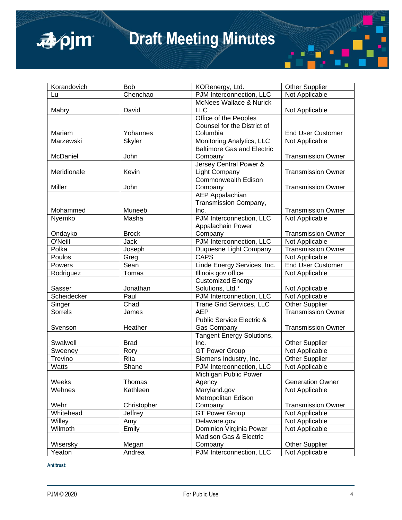

| Korandovich | <b>Bob</b>    | KORenergy, Ltd.                      | <b>Other Supplier</b>     |
|-------------|---------------|--------------------------------------|---------------------------|
| Lu          | Chenchao      | PJM Interconnection, LLC             | Not Applicable            |
|             |               | <b>McNees Wallace &amp; Nurick</b>   |                           |
| Mabry       | David         | <b>LLC</b>                           | Not Applicable            |
|             |               | Office of the Peoples                |                           |
|             |               | Counsel for the District of          |                           |
| Mariam      | Yohannes      | Columbia                             | <b>End User Customer</b>  |
| Marzewski   | <b>Skyler</b> | Monitoring Analytics, LLC            | Not Applicable            |
|             |               | <b>Baltimore Gas and Electric</b>    |                           |
| McDaniel    | John          | Company                              | <b>Transmission Owner</b> |
|             |               | Jersey Central Power &               |                           |
| Meridionale | Kevin         | Light Company                        | <b>Transmission Owner</b> |
|             |               | Commonwealth Edison                  |                           |
| Miller      | John          | Company                              | <b>Transmission Owner</b> |
|             |               | <b>AEP</b> Appalachian               |                           |
|             |               | Transmission Company,                |                           |
| Mohammed    | Muneeb        | Inc.                                 | <b>Transmission Owner</b> |
| Nyemko      | Masha         | PJM Interconnection, LLC             | Not Applicable            |
|             |               | Appalachain Power                    |                           |
| Ondayko     | <b>Brock</b>  | Company                              | <b>Transmission Owner</b> |
| O'Neill     | <b>Jack</b>   | PJM Interconnection, LLC             | Not Applicable            |
| Polka       | Joseph        | Duquesne Light Company               | <b>Transmission Owner</b> |
| Poulos      | Greg          | <b>CAPS</b>                          | Not Applicable            |
| Powers      | Sean          | Linde Energy Services, Inc.          | <b>End User Customer</b>  |
| Rodriguez   | Tomas         | Illinois gov office                  | Not Applicable            |
|             |               | Customized Energy                    |                           |
| Sasser      | Jonathan      | Solutions, Ltd.*                     | Not Applicable            |
| Scheidecker | Paul          | PJM Interconnection, LLC             | Not Applicable            |
| Singer      | Chad          | Trane Grid Services, LLC             | <b>Other Supplier</b>     |
| Sorrels     | James         | <b>AEP</b>                           | <b>Transmission Owner</b> |
|             |               | <b>Public Service Electric &amp;</b> |                           |
| Svenson     | Heather       | <b>Gas Company</b>                   | <b>Transmission Owner</b> |
|             |               | <b>Tangent Energy Solutions,</b>     |                           |
| Swalwell    | <b>Brad</b>   | Inc.                                 | <b>Other Supplier</b>     |
| Sweeney     | Rory          | <b>GT Power Group</b>                | Not Applicable            |
| Trevino     | Rita          | Siemens Industry, Inc.               | <b>Other Supplier</b>     |
| Watts       | Shane         | PJM Interconnection, LLC             | Not Applicable            |
|             |               | Michigan Public Power                |                           |
| Weeks       | Thomas        | Agency                               | <b>Generation Owner</b>   |
| Wehnes      | Kathleen      | Maryland.gov                         | Not Applicable            |
|             |               | Metropolitan Edison                  |                           |
| Wehr        | Christopher   | Company                              | <b>Transmission Owner</b> |
| Whitehead   | Jeffrey       | <b>GT Power Group</b>                | Not Applicable            |
| Willey      | Amy           | Delaware.gov                         | Not Applicable            |
| Wilmoth     | Emily         | Dominion Virginia Power              | Not Applicable            |
|             |               | Madison Gas & Electric               |                           |
| Wisersky    | Megan         | Company                              | <b>Other Supplier</b>     |
| Yeaton      | Andrea        | PJM Interconnection, LLC             | Not Applicable            |

**Antitrust:**